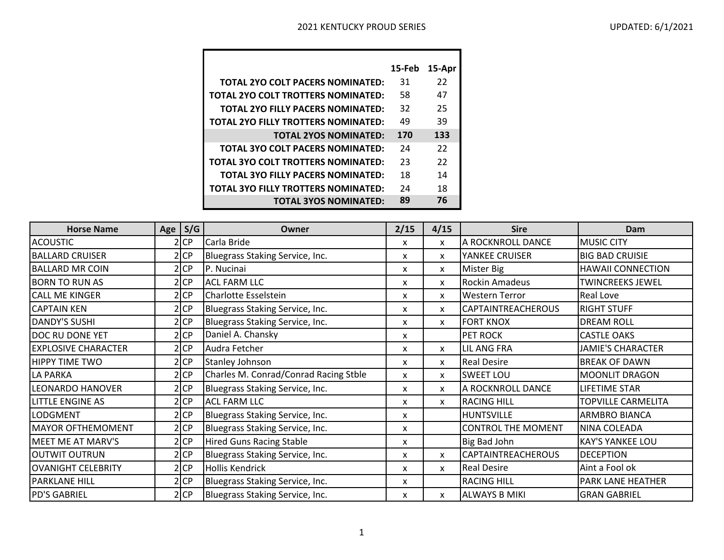|                                            | 15-Feb | 15-Apr |
|--------------------------------------------|--------|--------|
| <b>TOTAL 2YO COLT PACERS NOMINATED:</b>    | 31     | 22     |
| TOTAL 2YO COLT TROTTERS NOMINATED:         | 58     | 47     |
| <b>TOTAL 2YO FILLY PACERS NOMINATED:</b>   | 32     | 25     |
| TOTAL 2YO FILLY TROTTERS NOMINATED:        | 49     | 39     |
| <b>TOTAL 2YOS NOMINATED:</b>               | 170    | 133    |
| <b>TOTAL 3YO COLT PACERS NOMINATED:</b>    | 24     | 22     |
| TOTAL 3YO COLT TROTTERS NOMINATED:         | 23     | 22     |
| <b>TOTAL 3YO FILLY PACERS NOMINATED:</b>   | 18     | 14     |
| <b>TOTAL 3YO FILLY TROTTERS NOMINATED:</b> | 24     | 18     |
| <b>TOTAL 3YOS NOMINATED:</b>               | 89     | 76     |

| <b>Horse Name</b>          | Age $ S/G $ | Owner                                 | 2/15 | 4/15 | <b>Sire</b>               | Dam                       |
|----------------------------|-------------|---------------------------------------|------|------|---------------------------|---------------------------|
| <b>ACOUSTIC</b>            | $2$ CP      | Carla Bride                           | X    | X    | A ROCKNROLL DANCE         | <b>MUSIC CITY</b>         |
| <b>BALLARD CRUISER</b>     | 2 CP        | Bluegrass Staking Service, Inc.       | X    | X    | YANKEE CRUISER            | <b>BIG BAD CRUISIE</b>    |
| <b>BALLARD MR COIN</b>     | $2$ CP      | P. Nucinai                            | X    | X    | Mister Big                | <b>HAWAII CONNECTION</b>  |
| <b>BORN TO RUN AS</b>      | 2 CP        | <b>ACL FARM LLC</b>                   | X    | X    | <b>Rockin Amadeus</b>     | <b>TWINCREEKS JEWEL</b>   |
| <b>CALL ME KINGER</b>      | 2 CP        | Charlotte Esselstein                  | X    | X    | <b>Western Terror</b>     | <b>Real Love</b>          |
| <b>CAPTAIN KEN</b>         | 2 CP        | Bluegrass Staking Service, Inc.       | x    | X    | <b>CAPTAINTREACHEROUS</b> | <b>RIGHT STUFF</b>        |
| <b>DANDY'S SUSHI</b>       | 2 CP        | Bluegrass Staking Service, Inc.       | X    | X    | <b>FORT KNOX</b>          | <b>DREAM ROLL</b>         |
| <b>DOC RU DONE YET</b>     | 2 CP        | Daniel A. Chansky                     | X    |      | <b>PET ROCK</b>           | <b>CASTLE OAKS</b>        |
| <b>EXPLOSIVE CHARACTER</b> | $2$ CP      | Audra Fetcher                         | X    | X    | <b>LIL ANG FRA</b>        | <b>JAMIE'S CHARACTER</b>  |
| <b>HIPPY TIME TWO</b>      | $2$ CP      | <b>Stanley Johnson</b>                | X    | X    | <b>Real Desire</b>        | <b>BREAK OF DAWN</b>      |
| LA PARKA                   | $2$ CP      | Charles M. Conrad/Conrad Racing Stble | X    | X    | <b>SWEET LOU</b>          | <b>MOONLIT DRAGON</b>     |
| <b>LEONARDO HANOVER</b>    | 2 CP        | Bluegrass Staking Service, Inc.       | X    | X    | A ROCKNROLL DANCE         | LIFETIME STAR             |
| <b>LITTLE ENGINE AS</b>    | $2$ CP      | <b>ACL FARM LLC</b>                   | X    | X    | <b>RACING HILL</b>        | <b>TOPVILLE CARMELITA</b> |
| LODGMENT                   | 2 CP        | Bluegrass Staking Service, Inc.       | X    |      | <b>HUNTSVILLE</b>         | ARMBRO BIANCA             |
| <b>MAYOR OFTHEMOMENT</b>   | $2$ CP      | Bluegrass Staking Service, Inc.       | X    |      | <b>CONTROL THE MOMENT</b> | NINA COLEADA              |
| <b>MEET ME AT MARV'S</b>   | 2 CP        | Hired Guns Racing Stable              | X    |      | Big Bad John              | <b>KAY'S YANKEE LOU</b>   |
| OUTWIT OUTRUN              | 2 CP        | Bluegrass Staking Service, Inc.       | x    | X    | <b>CAPTAINTREACHEROUS</b> | <b>DECEPTION</b>          |
| <b>OVANIGHT CELEBRITY</b>  | $2$ CP      | <b>Hollis Kendrick</b>                | X    | X    | <b>Real Desire</b>        | Aint a Fool ok            |
| <b>PARKLANE HILL</b>       | $2$ CP      | Bluegrass Staking Service, Inc.       | X    |      | <b>RACING HILL</b>        | <b>PARK LANE HEATHER</b>  |
| <b>PD'S GABRIEL</b>        | $2$ CP      | Bluegrass Staking Service, Inc.       | х    | X    | <b>ALWAYS B MIKI</b>      | <b>GRAN GABRIEL</b>       |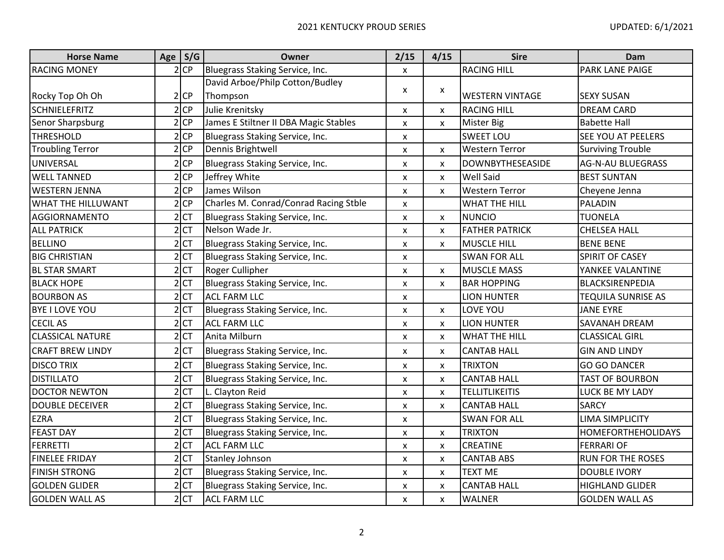| <b>Horse Name</b>       | Age   S/G       | Owner                                 | 2/15                      | 4/15                      | <b>Sire</b>             | Dam                       |
|-------------------------|-----------------|---------------------------------------|---------------------------|---------------------------|-------------------------|---------------------------|
| <b>RACING MONEY</b>     | $2$ CP          | Bluegrass Staking Service, Inc.       | $\mathsf{x}$              |                           | <b>RACING HILL</b>      | <b>PARK LANE PAIGE</b>    |
|                         |                 | David Arboe/Philp Cotton/Budley       | X                         |                           |                         |                           |
| Rocky Top Oh Oh         | $2$ CP          | Thompson                              |                           | X                         | <b>WESTERN VINTAGE</b>  | <b>SEXY SUSAN</b>         |
| <b>SCHNIELEFRITZ</b>    | $2$ CP          | Julie Krenitsky                       | X                         | $\boldsymbol{\mathsf{x}}$ | <b>RACING HILL</b>      | <b>DREAM CARD</b>         |
| Senor Sharpsburg        | $2$ CP          | James E Stiltner II DBA Magic Stables | $\pmb{\times}$            | $\boldsymbol{\mathsf{x}}$ | <b>Mister Big</b>       | <b>Babette Hall</b>       |
| <b>THRESHOLD</b>        | $2$ CP          | Bluegrass Staking Service, Inc.       | X                         |                           | <b>SWEET LOU</b>        | <b>SEE YOU AT PEELERS</b> |
| <b>Troubling Terror</b> | 2 CP            | Dennis Brightwell                     | X                         | X                         | <b>Western Terror</b>   | <b>Surviving Trouble</b>  |
| UNIVERSAL               | $2$ CP          | Bluegrass Staking Service, Inc.       | X                         | $\boldsymbol{\mathsf{x}}$ | <b>DOWNBYTHESEASIDE</b> | <b>AG-N-AU BLUEGRASS</b>  |
| <b>WELL TANNED</b>      | $2$ CP          | Jeffrey White                         | X                         | $\boldsymbol{\mathsf{x}}$ | Well Said               | <b>BEST SUNTAN</b>        |
| <b>WESTERN JENNA</b>    | $2$ CP          | James Wilson                          | X                         | $\boldsymbol{\mathsf{x}}$ | <b>Western Terror</b>   | Cheyene Jenna             |
| WHAT THE HILLUWANT      | $2$ CP          | Charles M. Conrad/Conrad Racing Stble | $\boldsymbol{\mathsf{x}}$ |                           | <b>WHAT THE HILL</b>    | PALADIN                   |
| <b>AGGIORNAMENTO</b>    | $2$ CT          | Bluegrass Staking Service, Inc.       | X                         | X                         | <b>NUNCIO</b>           | <b>TUONELA</b>            |
| <b>ALL PATRICK</b>      | $2$ CT          | Nelson Wade Jr.                       | X                         | X                         | <b>FATHER PATRICK</b>   | <b>CHELSEA HALL</b>       |
| <b>BELLINO</b>          | $2$ CT          | Bluegrass Staking Service, Inc.       | $\boldsymbol{\mathsf{x}}$ | X                         | <b>MUSCLE HILL</b>      | <b>BENE BENE</b>          |
| <b>BIG CHRISTIAN</b>    | $2$ CT          | Bluegrass Staking Service, Inc.       | X                         |                           | <b>SWAN FOR ALL</b>     | SPIRIT OF CASEY           |
| <b>BL STAR SMART</b>    | $2$ CT          | Roger Cullipher                       | $\pmb{\mathsf{x}}$        | X                         | <b>MUSCLE MASS</b>      | YANKEE VALANTINE          |
| <b>BLACK HOPE</b>       | 2 <sub>CT</sub> | Bluegrass Staking Service, Inc.       | $\pmb{\times}$            | X                         | <b>BAR HOPPING</b>      | <b>BLACKSIRENPEDIA</b>    |
| <b>BOURBON AS</b>       | $2$ CT          | <b>ACL FARM LLC</b>                   | X                         |                           | <b>LION HUNTER</b>      | <b>TEQUILA SUNRISE AS</b> |
| <b>BYE I LOVE YOU</b>   | $2$ CT          | Bluegrass Staking Service, Inc.       | $\pmb{\times}$            | $\boldsymbol{\mathsf{x}}$ | LOVE YOU                | <b>JANE EYRE</b>          |
| <b>CECIL AS</b>         | $2$ CT          | <b>ACL FARM LLC</b>                   | X                         | $\boldsymbol{\mathsf{x}}$ | <b>LION HUNTER</b>      | SAVANAH DREAM             |
| <b>CLASSICAL NATURE</b> | $2$ CT          | Anita Milburn                         | $\pmb{\times}$            | $\boldsymbol{\mathsf{x}}$ | <b>WHAT THE HILL</b>    | <b>CLASSICAL GIRL</b>     |
| <b>CRAFT BREW LINDY</b> | $2$ CT          | Bluegrass Staking Service, Inc.       | X                         | $\boldsymbol{\mathsf{x}}$ | <b>CANTAB HALL</b>      | <b>GIN AND LINDY</b>      |
| <b>DISCO TRIX</b>       | $2$ CT          | Bluegrass Staking Service, Inc.       | X                         | X                         | <b>TRIXTON</b>          | <b>GO GO DANCER</b>       |
| <b>DISTILLATO</b>       | 2 <sub>CT</sub> | Bluegrass Staking Service, Inc.       | X                         | $\boldsymbol{\mathsf{x}}$ | <b>CANTAB HALL</b>      | <b>TAST OF BOURBON</b>    |
| <b>DOCTOR NEWTON</b>    | $2$ CT          | L. Clayton Reid                       | X                         | X                         | <b>TELLITLIKEITIS</b>   | LUCK BE MY LADY           |
| <b>DOUBLE DECEIVER</b>  | $2$ CT          | Bluegrass Staking Service, Inc.       | $\pmb{\times}$            | $\boldsymbol{\mathsf{x}}$ | <b>CANTAB HALL</b>      | <b>SARCY</b>              |
| <b>EZRA</b>             | $2$ CT          | Bluegrass Staking Service, Inc.       | X                         |                           | <b>SWAN FOR ALL</b>     | <b>LIMA SIMPLICITY</b>    |
| <b>FEAST DAY</b>        | $2$ CT          | Bluegrass Staking Service, Inc.       | X                         | $\pmb{\times}$            | <b>TRIXTON</b>          | <b>HOMEFORTHEHOLIDAYS</b> |
| <b>FERRETTI</b>         | $2$ CT          | <b>ACL FARM LLC</b>                   | X                         | $\boldsymbol{\mathsf{x}}$ | <b>CREATINE</b>         | <b>FERRARI OF</b>         |
| <b>FINELEE FRIDAY</b>   | $2$ CT          | <b>Stanley Johnson</b>                | $\pmb{\times}$            | $\boldsymbol{\mathsf{x}}$ | <b>CANTAB ABS</b>       | <b>RUN FOR THE ROSES</b>  |
| <b>FINISH STRONG</b>    | $2$ CT          | Bluegrass Staking Service, Inc.       | X                         | $\boldsymbol{\mathsf{x}}$ | <b>TEXT ME</b>          | <b>DOUBLE IVORY</b>       |
| <b>GOLDEN GLIDER</b>    | $2$ CT          | Bluegrass Staking Service, Inc.       | X                         | X                         | <b>CANTAB HALL</b>      | <b>HIGHLAND GLIDER</b>    |
| <b>GOLDEN WALL AS</b>   | $2$ CT          | <b>ACL FARM LLC</b>                   | X                         | $\boldsymbol{\mathsf{x}}$ | <b>WALNER</b>           | <b>GOLDEN WALL AS</b>     |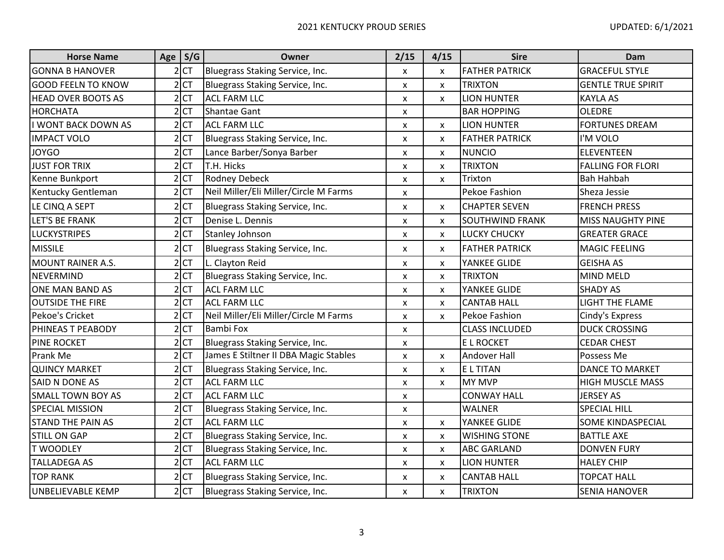| <b>Horse Name</b>          | Age $S/G$       | <b>Owner</b>                          | 2/15                      | 4/15                      | <b>Sire</b>            | Dam                       |
|----------------------------|-----------------|---------------------------------------|---------------------------|---------------------------|------------------------|---------------------------|
| <b>GONNA B HANOVER</b>     | $2$ CT          | Bluegrass Staking Service, Inc.       | X                         | $\boldsymbol{\mathsf{x}}$ | <b>FATHER PATRICK</b>  | <b>GRACEFUL STYLE</b>     |
| <b>GOOD FEELN TO KNOW</b>  | $2$ CT          | Bluegrass Staking Service, Inc.       | X                         | X                         | <b>TRIXTON</b>         | <b>GENTLE TRUE SPIRIT</b> |
| <b>HEAD OVER BOOTS AS</b>  | $2$ CT          | <b>ACL FARM LLC</b>                   | $\pmb{\mathsf{x}}$        | X                         | <b>LION HUNTER</b>     | <b>KAYLA AS</b>           |
| <b>HORCHATA</b>            | $2$ CT          | <b>Shantae Gant</b>                   | X                         |                           | <b>BAR HOPPING</b>     | <b>OLEDRE</b>             |
| <b>I WONT BACK DOWN AS</b> | $2$ CT          | <b>ACL FARM LLC</b>                   | X                         | $\boldsymbol{\mathsf{x}}$ | <b>LION HUNTER</b>     | <b>FORTUNES DREAM</b>     |
| <b>IMPACT VOLO</b>         | $2$ CT          | Bluegrass Staking Service, Inc.       | X                         | X                         | <b>FATHER PATRICK</b>  | I'M VOLO                  |
| <b>JOYGO</b>               | $2$ CT          | Lance Barber/Sonya Barber             | $\pmb{\times}$            | $\boldsymbol{\mathsf{x}}$ | <b>NUNCIO</b>          | <b>ELEVENTEEN</b>         |
| <b>JUST FOR TRIX</b>       | $2$ CT          | T.H. Hicks                            | X                         | X                         | TRIXTON                | <b>FALLING FOR FLORI</b>  |
| Kenne Bunkport             | $2$ CT          | <b>Rodney Debeck</b>                  | $\mathsf{x}$              | $\mathsf{x}$              | Trixton                | <b>Bah Hahbah</b>         |
| Kentucky Gentleman         | $2$ CT          | Neil Miller/Eli Miller/Circle M Farms | X                         |                           | Pekoe Fashion          | Sheza Jessie              |
| LE CINQ A SEPT             | $2$ CT          | Bluegrass Staking Service, Inc.       | X                         | X                         | <b>CHAPTER SEVEN</b>   | <b>FRENCH PRESS</b>       |
| LET'S BE FRANK             | $2$ CT          | Denise L. Dennis                      | X                         | $\pmb{\times}$            | <b>SOUTHWIND FRANK</b> | <b>MISS NAUGHTY PINE</b>  |
| <b>LUCKYSTRIPES</b>        | $2$ CT          | <b>Stanley Johnson</b>                | X                         | $\boldsymbol{\mathsf{x}}$ | LUCKY CHUCKY           | <b>GREATER GRACE</b>      |
| <b>MISSILE</b>             | $2$ CT          | Bluegrass Staking Service, Inc.       | $\pmb{\mathsf{x}}$        | X                         | <b>FATHER PATRICK</b>  | <b>MAGIC FEELING</b>      |
| <b>MOUNT RAINER A.S.</b>   | $2$ CT          | L. Clayton Reid                       | X                         | X                         | YANKEE GLIDE           | <b>GEISHA AS</b>          |
| <b>NEVERMIND</b>           | $2$ CT          | Bluegrass Staking Service, Inc.       | X                         | X                         | <b>TRIXTON</b>         | <b>MIND MELD</b>          |
| <b>ONE MAN BAND AS</b>     | $2$ CT          | <b>ACL FARM LLC</b>                   | $\pmb{\mathsf{x}}$        | $\boldsymbol{\mathsf{x}}$ | YANKEE GLIDE           | <b>SHADY AS</b>           |
| <b>OUTSIDE THE FIRE</b>    | $2$ CT          | <b>ACL FARM LLC</b>                   | X                         | $\pmb{\times}$            | <b>CANTAB HALL</b>     | <b>LIGHT THE FLAME</b>    |
| Pekoe's Cricket            | $2$ CT          | Neil Miller/Eli Miller/Circle M Farms | X                         | $\boldsymbol{\mathsf{x}}$ | Pekoe Fashion          | Cindy's Express           |
| PHINEAS T PEABODY          | $2$ CT          | <b>Bambi Fox</b>                      | $\boldsymbol{\mathsf{x}}$ |                           | <b>CLASS INCLUDED</b>  | <b>DUCK CROSSING</b>      |
| <b>PINE ROCKET</b>         | $2$ CT          | Bluegrass Staking Service, Inc.       | $\pmb{\times}$            |                           | <b>EL ROCKET</b>       | <b>CEDAR CHEST</b>        |
| Prank Me                   | $2$ CT          | James E Stiltner II DBA Magic Stables | $\boldsymbol{\mathsf{x}}$ | X                         | <b>Andover Hall</b>    | Possess Me                |
| <b>QUINCY MARKET</b>       | $2$ CT          | Bluegrass Staking Service, Inc.       | X                         | X                         | <b>ELTITAN</b>         | <b>DANCE TO MARKET</b>    |
| SAID N DONE AS             | $2$ CT          | <b>ACL FARM LLC</b>                   | X                         | $\boldsymbol{\mathsf{x}}$ | MY MVP                 | <b>HIGH MUSCLE MASS</b>   |
| <b>SMALL TOWN BOY AS</b>   | 2 <sub>CT</sub> | <b>ACL FARM LLC</b>                   | X                         |                           | <b>CONWAY HALL</b>     | <b>JERSEY AS</b>          |
| <b>SPECIAL MISSION</b>     | $2$ CT          | Bluegrass Staking Service, Inc.       | $\pmb{\chi}$              |                           | <b>WALNER</b>          | <b>SPECIAL HILL</b>       |
| <b>STAND THE PAIN AS</b>   | $2$ CT          | <b>ACL FARM LLC</b>                   | $\pmb{\mathsf{x}}$        | X                         | YANKEE GLIDE           | <b>SOME KINDASPECIAL</b>  |
| <b>STILL ON GAP</b>        | $2$ CT          | Bluegrass Staking Service, Inc.       | X                         | $\boldsymbol{\mathsf{x}}$ | <b>WISHING STONE</b>   | <b>BATTLE AXE</b>         |
| <b>T WOODLEY</b>           | $2$ CT          | Bluegrass Staking Service, Inc.       | X                         | X                         | <b>ABC GARLAND</b>     | <b>DONVEN FURY</b>        |
| <b>TALLADEGA AS</b>        | $2$ CT          | <b>ACL FARM LLC</b>                   | X                         | X                         | <b>LION HUNTER</b>     | <b>HALEY CHIP</b>         |
| <b>TOP RANK</b>            | $2$ CT          | Bluegrass Staking Service, Inc.       | X                         | $\boldsymbol{\mathsf{x}}$ | <b>CANTAB HALL</b>     | <b>TOPCAT HALL</b>        |
| <b>UNBELIEVABLE KEMP</b>   | 2CT             | Bluegrass Staking Service, Inc.       | $\boldsymbol{\mathsf{x}}$ | $\boldsymbol{\mathsf{x}}$ | <b>TRIXTON</b>         | <b>SENIA HANOVER</b>      |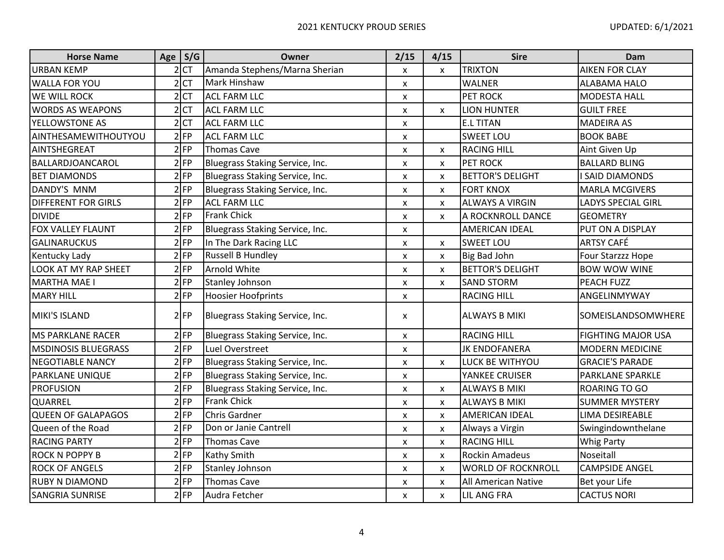| <b>Horse Name</b>          | Age $S/G$       | Owner                           | 2/15                      | 4/15                      | <b>Sire</b>                | Dam                       |
|----------------------------|-----------------|---------------------------------|---------------------------|---------------------------|----------------------------|---------------------------|
| <b>URBAN KEMP</b>          | $2$ CT          | Amanda Stephens/Marna Sherian   | X                         | X                         | <b>TRIXTON</b>             | <b>AIKEN FOR CLAY</b>     |
| <b>WALLA FOR YOU</b>       | $2$ CT          | <b>Mark Hinshaw</b>             | X                         |                           | <b>WALNER</b>              | <b>ALABAMA HALO</b>       |
| <b>WE WILL ROCK</b>        | 2 <sub>CT</sub> | <b>ACL FARM LLC</b>             | $\boldsymbol{\mathsf{x}}$ |                           | PET ROCK                   | <b>MODESTA HALL</b>       |
| <b>WORDS AS WEAPONS</b>    | $2$ CT          | <b>ACL FARM LLC</b>             | X                         | X                         | <b>LION HUNTER</b>         | <b>GUILT FREE</b>         |
| YELLOWSTONE AS             | $2$ CT          | <b>ACL FARM LLC</b>             | X                         |                           | <b>E.L TITAN</b>           | <b>MADEIRA AS</b>         |
| AINTHESAMEWITHOUTYOU       | $2$ FP          | <b>ACL FARM LLC</b>             | X                         |                           | <b>SWEET LOU</b>           | <b>BOOK BABE</b>          |
| AINTSHEGREAT               | $2$ FP          | <b>Thomas Cave</b>              | $\pmb{\mathsf{X}}$        | X                         | <b>RACING HILL</b>         | Aint Given Up             |
| BALLARDJOANCAROL           | $2$ FP          | Bluegrass Staking Service, Inc. | $\boldsymbol{\mathsf{x}}$ | $\pmb{\times}$            | <b>PET ROCK</b>            | <b>BALLARD BLING</b>      |
| <b>BET DIAMONDS</b>        | $2$ FP          | Bluegrass Staking Service, Inc. | X                         | $\pmb{\times}$            | <b>BETTOR'S DELIGHT</b>    | <b>SAID DIAMONDS</b>      |
| <b>DANDY'S MNM</b>         | $2$ FP          | Bluegrass Staking Service, Inc. | X                         | X                         | <b>FORT KNOX</b>           | <b>MARLA MCGIVERS</b>     |
| <b>DIFFERENT FOR GIRLS</b> | $2$ FP          | <b>ACL FARM LLC</b>             | $\pmb{\mathsf{X}}$        | $\pmb{\times}$            | <b>ALWAYS A VIRGIN</b>     | <b>LADYS SPECIAL GIRL</b> |
| <b>DIVIDE</b>              | $2$ FP          | <b>Frank Chick</b>              | X                         | X                         | A ROCKNROLL DANCE          | <b>GEOMETRY</b>           |
| FOX VALLEY FLAUNT          | $2$ FP          | Bluegrass Staking Service, Inc. | $\boldsymbol{\mathsf{x}}$ |                           | <b>AMERICAN IDEAL</b>      | PUT ON A DISPLAY          |
| <b>GALINARUCKUS</b>        | $2$ FP          | In The Dark Racing LLC          | $\pmb{\mathsf{X}}$        | X                         | <b>SWEET LOU</b>           | <b>ARTSY CAFÉ</b>         |
| Kentucky Lady              | $2$ FP          | <b>Russell B Hundley</b>        | X                         | X                         | Big Bad John               | Four Starzzz Hope         |
| LOOK AT MY RAP SHEET       | $2$ FP          | Arnold White                    | $\boldsymbol{\mathsf{x}}$ | $\pmb{\times}$            | <b>BETTOR'S DELIGHT</b>    | <b>BOW WOW WINE</b>       |
| <b>MARTHA MAE I</b>        | $2$ FP          | <b>Stanley Johnson</b>          | X                         | X                         | <b>SAND STORM</b>          | <b>PEACH FUZZ</b>         |
| <b>MARY HILL</b>           | $2$ FP          | <b>Hoosier Hoofprints</b>       | $\boldsymbol{\mathsf{x}}$ |                           | <b>RACING HILL</b>         | ANGELINMYWAY              |
| MIKI'S ISLAND              | $2$ FP          | Bluegrass Staking Service, Inc. | $\pmb{\mathsf{X}}$        |                           | <b>ALWAYS B MIKI</b>       | SOMEISLANDSOMWHERE        |
| <b>MS PARKLANE RACER</b>   | $2$ FP          | Bluegrass Staking Service, Inc. | $\boldsymbol{\mathsf{x}}$ |                           | <b>RACING HILL</b>         | <b>FIGHTING MAJOR USA</b> |
| <b>MSDINOSIS BLUEGRASS</b> | $2$ FP          | Luel Overstreet                 | X                         |                           | <b>JK ENDOFANERA</b>       | <b>MODERN MEDICINE</b>    |
| <b>NEGOTIABLE NANCY</b>    | $2$ FP          | Bluegrass Staking Service, Inc. | $\boldsymbol{\mathsf{x}}$ | $\mathsf{x}$              | LUCK BE WITHYOU            | <b>GRACIE'S PARADE</b>    |
| <b>PARKLANE UNIQUE</b>     | $2$ FP          | Bluegrass Staking Service, Inc. | X                         |                           | YANKEE CRUISER             | <b>PARKLANE SPARKLE</b>   |
| <b>PROFUSION</b>           | $2$ FP          | Bluegrass Staking Service, Inc. | $\boldsymbol{\mathsf{x}}$ | X                         | <b>ALWAYS B MIKI</b>       | <b>ROARING TO GO</b>      |
| QUARREL                    | $2$ FP          | <b>Frank Chick</b>              | $\boldsymbol{\mathsf{x}}$ | X                         | <b>ALWAYS B MIKI</b>       | <b>SUMMER MYSTERY</b>     |
| <b>QUEEN OF GALAPAGOS</b>  | $2$ FP          | <b>Chris Gardner</b>            | X                         | X                         | AMERICAN IDEAL             | LIMA DESIREABLE           |
| Queen of the Road          | $2$ FP          | Don or Janie Cantrell           | $\boldsymbol{\mathsf{x}}$ | $\pmb{\times}$            | Always a Virgin            | Swingindownthelane        |
| <b>RACING PARTY</b>        | $2$ FP          | <b>Thomas Cave</b>              | X                         | $\pmb{\times}$            | <b>RACING HILL</b>         | <b>Whig Party</b>         |
| <b>ROCK N POPPY B</b>      | $2$ FP          | <b>Kathy Smith</b>              | $\boldsymbol{\mathsf{x}}$ | $\boldsymbol{\mathsf{x}}$ | <b>Rockin Amadeus</b>      | Noseitall                 |
| <b>ROCK OF ANGELS</b>      | $2$ FP          | <b>Stanley Johnson</b>          | $\boldsymbol{\mathsf{x}}$ | $\pmb{\mathsf{X}}$        | <b>WORLD OF ROCKNROLL</b>  | <b>CAMPSIDE ANGEL</b>     |
| <b>RUBY N DIAMOND</b>      | $2$ FP          | <b>Thomas Cave</b>              | X                         | X                         | <b>All American Native</b> | Bet your Life             |
| <b>SANGRIA SUNRISE</b>     | $2$ FP          | Audra Fetcher                   | $\pmb{\mathsf{X}}$        | X                         | <b>LIL ANG FRA</b>         | <b>CACTUS NORI</b>        |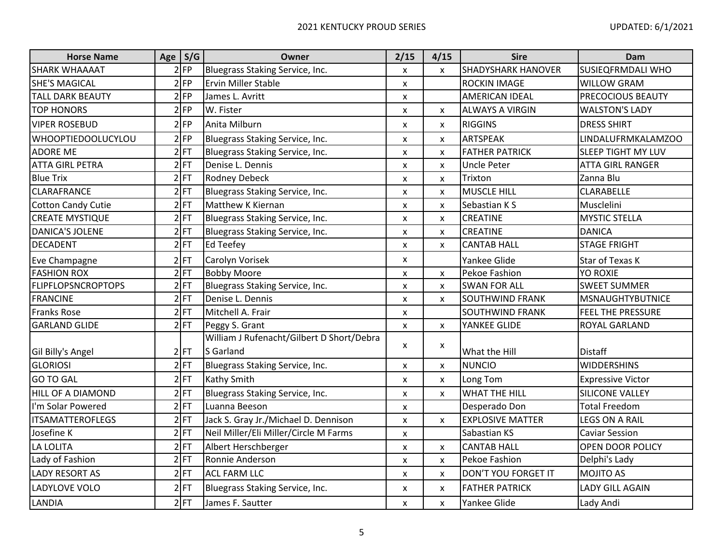| <b>Horse Name</b>         | Age   S/G | Owner                                     | 2/15                      | 4/15                      | <b>Sire</b>               | Dam                       |
|---------------------------|-----------|-------------------------------------------|---------------------------|---------------------------|---------------------------|---------------------------|
| <b>SHARK WHAAAAT</b>      | $2$ FP    | Bluegrass Staking Service, Inc.           | $\boldsymbol{\mathsf{x}}$ | $\boldsymbol{\mathsf{x}}$ | <b>SHADYSHARK HANOVER</b> | <b>SUSIEQFRMDALI WHO</b>  |
| <b>SHE'S MAGICAL</b>      | $2$ FP    | <b>Ervin Miller Stable</b>                | X                         |                           | <b>ROCKIN IMAGE</b>       | <b>WILLOW GRAM</b>        |
| <b>TALL DARK BEAUTY</b>   | $2$ FP    | James L. Avritt                           | $\pmb{\mathsf{X}}$        |                           | <b>AMERICAN IDEAL</b>     | <b>PRECOCIOUS BEAUTY</b>  |
| <b>TOP HONORS</b>         | $2$ FP    | W. Fister                                 | X                         | X                         | <b>ALWAYS A VIRGIN</b>    | <b>WALSTON'S LADY</b>     |
| <b>VIPER ROSEBUD</b>      | $2$ FP    | Anita Milburn                             | $\pmb{\times}$            | $\boldsymbol{\mathsf{x}}$ | <b>RIGGINS</b>            | <b>DRESS SHIRT</b>        |
| <b>WHOOPTIEDOOLUCYLOU</b> | $2$ FP    | Bluegrass Staking Service, Inc.           | X                         | X                         | ARTSPEAK                  | LINDALUFRMKALAMZOO        |
| <b>ADORE ME</b>           | $2$ FT    | Bluegrass Staking Service, Inc.           | $\boldsymbol{\mathsf{x}}$ | $\boldsymbol{\mathsf{x}}$ | <b>FATHER PATRICK</b>     | <b>SLEEP TIGHT MY LUV</b> |
| <b>ATTA GIRL PETRA</b>    | $2$ FT    | Denise L. Dennis                          | X                         | $\boldsymbol{\mathsf{x}}$ | <b>Uncle Peter</b>        | ATTA GIRL RANGER          |
| <b>Blue Trix</b>          | $2$ FT    | <b>Rodney Debeck</b>                      | X                         | $\pmb{\times}$            | Trixton                   | Zanna Blu                 |
| <b>CLARAFRANCE</b>        | $2$ FT    | Bluegrass Staking Service, Inc.           | $\pmb{\times}$            | $\boldsymbol{\mathsf{x}}$ | <b>MUSCLE HILL</b>        | <b>CLARABELLE</b>         |
| <b>Cotton Candy Cutie</b> | $2$ FT    | Matthew K Kiernan                         | $\pmb{\times}$            | $\mathsf{x}$              | Sebastian KS              | Musclelini                |
| <b>CREATE MYSTIQUE</b>    | $2$ FT    | Bluegrass Staking Service, Inc.           | X                         | X                         | CREATINE                  | <b>MYSTIC STELLA</b>      |
| <b>DANICA'S JOLENE</b>    | $2$ FT    | Bluegrass Staking Service, Inc.           | $\boldsymbol{\mathsf{x}}$ | $\boldsymbol{\mathsf{x}}$ | <b>CREATINE</b>           | <b>DANICA</b>             |
| <b>DECADENT</b>           | $2$ FT    | <b>Ed Teefey</b>                          | $\boldsymbol{\mathsf{x}}$ | $\mathsf{x}$              | <b>CANTAB HALL</b>        | <b>STAGE FRIGHT</b>       |
| Eve Champagne             | $2$ FT    | Carolyn Vorisek                           | X                         |                           | Yankee Glide              | Star of Texas K           |
| <b>FASHION ROX</b>        | $2$ FT    | <b>Bobby Moore</b>                        | $\pmb{\mathsf{X}}$        | X                         | Pekoe Fashion             | <b>YO ROXIE</b>           |
| <b>FLIPFLOPSNCROPTOPS</b> | $2$ FT    | Bluegrass Staking Service, Inc.           | X                         | X                         | <b>SWAN FOR ALL</b>       | <b>SWEET SUMMER</b>       |
| <b>FRANCINE</b>           | $2$ FT    | Denise L. Dennis                          | X                         | X                         | <b>SOUTHWIND FRANK</b>    | <b>MSNAUGHTYBUTNICE</b>   |
| <b>Franks Rose</b>        | $2$ FT    | Mitchell A. Frair                         | $\pmb{\mathsf{X}}$        |                           | <b>SOUTHWIND FRANK</b>    | <b>FEEL THE PRESSURE</b>  |
| <b>GARLAND GLIDE</b>      | $2$ FT    | Peggy S. Grant                            | $\boldsymbol{\mathsf{x}}$ | $\boldsymbol{\mathsf{x}}$ | YANKEE GLIDE              | <b>ROYAL GARLAND</b>      |
|                           |           | William J Rufenacht/Gilbert D Short/Debra | X                         | X                         |                           |                           |
| Gil Billy's Angel         | $2$ FT    | S Garland                                 |                           |                           | What the Hill             | <b>Distaff</b>            |
| <b>GLORIOSI</b>           | $2$ FT    | Bluegrass Staking Service, Inc.           | X                         | $\boldsymbol{\mathsf{x}}$ | <b>NUNCIO</b>             | <b>WIDDERSHINS</b>        |
| <b>GO TO GAL</b>          | $2$ FT    | Kathy Smith                               | $\pmb{\times}$            | $\boldsymbol{\mathsf{x}}$ | Long Tom                  | <b>Expressive Victor</b>  |
| HILL OF A DIAMOND         | $2$ FT    | Bluegrass Staking Service, Inc.           | X                         | $\boldsymbol{\mathsf{x}}$ | <b>WHAT THE HILL</b>      | SILICONE VALLEY           |
| I'm Solar Powered         | $2$ FT    | Luanna Beeson                             | $\boldsymbol{\mathsf{x}}$ |                           | Desperado Don             | <b>Total Freedom</b>      |
| <b>ITSAMATTEROFLEGS</b>   | $2$ FT    | Jack S. Gray Jr./Michael D. Dennison      | $\pmb{\chi}$              | $\mathsf{x}$              | <b>EXPLOSIVE MATTER</b>   | <b>LEGS ON A RAIL</b>     |
| Josefine K                | $2$ FT    | Neil Miller/Eli Miller/Circle M Farms     | X                         |                           | Sabastian KS              | <b>Caviar Session</b>     |
| <b>LA LOLITA</b>          | $2$ FT    | Albert Herschberger                       | $\pmb{\mathsf{X}}$        | $\pmb{\times}$            | <b>CANTAB HALL</b>        | <b>OPEN DOOR POLICY</b>   |
| Lady of Fashion           | $2$ FT    | Ronnie Anderson                           | $\boldsymbol{\mathsf{x}}$ | $\boldsymbol{\mathsf{x}}$ | Pekoe Fashion             | Delphi's Lady             |
| <b>LADY RESORT AS</b>     | $2$ FT    | <b>ACL FARM LLC</b>                       | X                         | X                         | DON'T YOU FORGET IT       | <b>MOJITO AS</b>          |
| LADYLOVE VOLO             | $2$ FT    | Bluegrass Staking Service, Inc.           | X                         | X                         | <b>FATHER PATRICK</b>     | <b>LADY GILL AGAIN</b>    |
| <b>LANDIA</b>             | $2$ FT    | James F. Sautter                          | X                         | $\boldsymbol{\mathsf{x}}$ | Yankee Glide              | Lady Andi                 |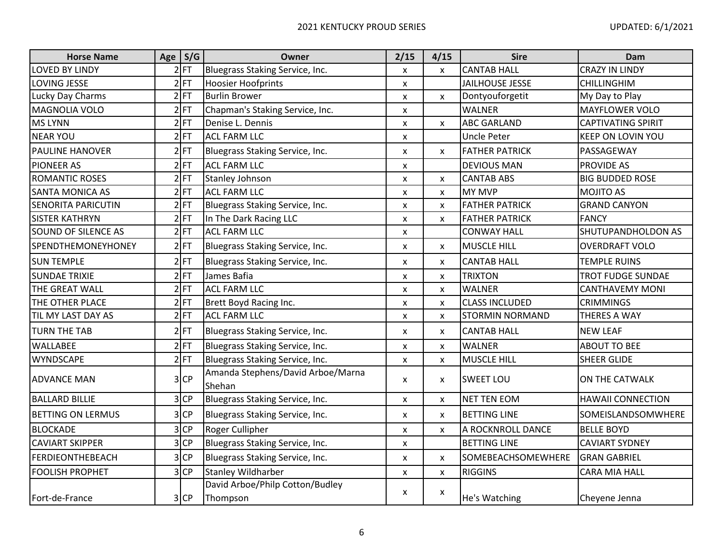| <b>Horse Name</b>          | Age S/G | Owner                                       | 2/15                      | 4/15                      | <b>Sire</b>            | Dam                       |
|----------------------------|---------|---------------------------------------------|---------------------------|---------------------------|------------------------|---------------------------|
| <b>LOVED BY LINDY</b>      | $2$ FT  | Bluegrass Staking Service, Inc.             | X                         | $\pmb{\mathsf{X}}$        | <b>CANTAB HALL</b>     | <b>CRAZY IN LINDY</b>     |
| LOVING JESSE               | $2$ FT  | <b>Hoosier Hoofprints</b>                   | $\pmb{\mathsf{X}}$        |                           | <b>JAILHOUSE JESSE</b> | <b>CHILLINGHIM</b>        |
| Lucky Day Charms           | $2$ FT  | <b>Burlin Brower</b>                        | $\pmb{\mathsf{X}}$        | $\pmb{\mathsf{X}}$        | Dontyouforgetit        | My Day to Play            |
| <b>MAGNOLIA VOLO</b>       | $2$ FT  | Chapman's Staking Service, Inc.             | X                         |                           | <b>WALNER</b>          | <b>MAYFLOWER VOLO</b>     |
| <b>MS LYNN</b>             | $2$ FT  | Denise L. Dennis                            | $\mathsf{x}$              | $\mathsf{x}$              | <b>ABC GARLAND</b>     | <b>CAPTIVATING SPIRIT</b> |
| <b>NEAR YOU</b>            | $2$ FT  | <b>ACL FARM LLC</b>                         | $\pmb{\mathsf{X}}$        |                           | <b>Uncle Peter</b>     | <b>KEEP ON LOVIN YOU</b>  |
| <b>PAULINE HANOVER</b>     | $2$ FT  | Bluegrass Staking Service, Inc.             | $\pmb{\times}$            | $\mathsf{x}$              | <b>FATHER PATRICK</b>  | PASSAGEWAY                |
| <b>PIONEER AS</b>          | $2$ FT  | <b>ACL FARM LLC</b>                         | X                         |                           | <b>DEVIOUS MAN</b>     | <b>PROVIDE AS</b>         |
| <b>ROMANTIC ROSES</b>      | $2$ FT  | <b>Stanley Johnson</b>                      | $\boldsymbol{\mathsf{x}}$ | $\pmb{\mathsf{X}}$        | <b>CANTAB ABS</b>      | <b>BIG BUDDED ROSE</b>    |
| <b>SANTA MONICA AS</b>     | $2$ FT  | <b>ACL FARM LLC</b>                         | X                         | X                         | <b>MY MVP</b>          | <b>MOJITO AS</b>          |
| <b>SENORITA PARICUTIN</b>  | $2$ FT  | Bluegrass Staking Service, Inc.             | $\pmb{\mathsf{X}}$        | X                         | <b>FATHER PATRICK</b>  | <b>GRAND CANYON</b>       |
| <b>SISTER KATHRYN</b>      | $2$ FT  | In The Dark Racing LLC                      | $\mathsf{x}$              | X                         | <b>FATHER PATRICK</b>  | <b>FANCY</b>              |
| <b>SOUND OF SILENCE AS</b> | $2$ FT  | <b>ACL FARM LLC</b>                         | $\pmb{\times}$            |                           | <b>CONWAY HALL</b>     | SHUTUPANDHOLDON AS        |
| <b>SPENDTHEMONEYHONEY</b>  | $2$ FT  | Bluegrass Staking Service, Inc.             | $\pmb{\mathsf{X}}$        | X                         | <b>MUSCLE HILL</b>     | <b>OVERDRAFT VOLO</b>     |
| <b>SUN TEMPLE</b>          | $2$ FT  | Bluegrass Staking Service, Inc.             | $\boldsymbol{\mathsf{x}}$ | X                         | <b>CANTAB HALL</b>     | <b>TEMPLE RUINS</b>       |
| <b>SUNDAE TRIXIE</b>       | $2$ FT  | James Bafia                                 | $\pmb{\mathsf{X}}$        | X                         | <b>TRIXTON</b>         | <b>TROT FUDGE SUNDAE</b>  |
| THE GREAT WALL             | $2$ FT  | <b>ACL FARM LLC</b>                         | X                         | X                         | <b>WALNER</b>          | <b>CANTHAVEMY MONI</b>    |
| THE OTHER PLACE            | $2$ FT  | Brett Boyd Racing Inc.                      | $\pmb{\mathsf{X}}$        | $\boldsymbol{\mathsf{x}}$ | <b>CLASS INCLUDED</b>  | <b>CRIMMINGS</b>          |
| TIL MY LAST DAY AS         | $2$ FT  | <b>ACL FARM LLC</b>                         | $\boldsymbol{\mathsf{x}}$ | X                         | <b>STORMIN NORMAND</b> | THERES A WAY              |
| <b>TURN THE TAB</b>        | $2$ FT  | Bluegrass Staking Service, Inc.             | $\pmb{\mathsf{X}}$        | $\pmb{\mathsf{X}}$        | <b>CANTAB HALL</b>     | <b>NEW LEAF</b>           |
| <b>WALLABEE</b>            | $2$ FT  | Bluegrass Staking Service, Inc.             | X                         | X                         | <b>WALNER</b>          | <b>ABOUT TO BEE</b>       |
| <b>WYNDSCAPE</b>           | $2$ FT  | Bluegrass Staking Service, Inc.             | $\mathsf{x}$              | $\mathsf{x}$              | <b>MUSCLE HILL</b>     | <b>SHEER GLIDE</b>        |
| <b>ADVANCE MAN</b>         | $3$ CP  | Amanda Stephens/David Arboe/Marna<br>Shehan | $\boldsymbol{\mathsf{x}}$ | X                         | <b>SWEET LOU</b>       | ON THE CATWALK            |
| <b>BALLARD BILLIE</b>      | $3$ CP  | Bluegrass Staking Service, Inc.             | X                         | X                         | <b>NET TEN EOM</b>     | <b>HAWAII CONNECTION</b>  |
| <b>BETTING ON LERMUS</b>   | $3$ CP  | Bluegrass Staking Service, Inc.             | X                         | X                         | <b>BETTING LINE</b>    | SOMEISLANDSOMWHERE        |
| <b>BLOCKADE</b>            | $3$ CP  | Roger Cullipher                             | $\pmb{\mathsf{X}}$        | $\pmb{\mathsf{X}}$        | A ROCKNROLL DANCE      | <b>BELLE BOYD</b>         |
| <b>CAVIART SKIPPER</b>     | $3$ CP  | Bluegrass Staking Service, Inc.             | $\pmb{\mathsf{X}}$        |                           | <b>BETTING LINE</b>    | <b>CAVIART SYDNEY</b>     |
| <b>FERDIEONTHEBEACH</b>    | $3$ CP  | Bluegrass Staking Service, Inc.             | $\pmb{\mathsf{X}}$        | $\pmb{\mathsf{X}}$        | SOMEBEACHSOMEWHERE     | <b>GRAN GABRIEL</b>       |
| <b>FOOLISH PROPHET</b>     | $3$ CP  | <b>Stanley Wildharber</b>                   | $\pmb{\mathsf{x}}$        | $\pmb{\mathsf{X}}$        | <b>RIGGINS</b>         | <b>CARA MIA HALL</b>      |
|                            |         | David Arboe/Philp Cotton/Budley             | X                         | X                         |                        |                           |
| Fort-de-France             | $3$ CP  | Thompson                                    |                           |                           | He's Watching          | Cheyene Jenna             |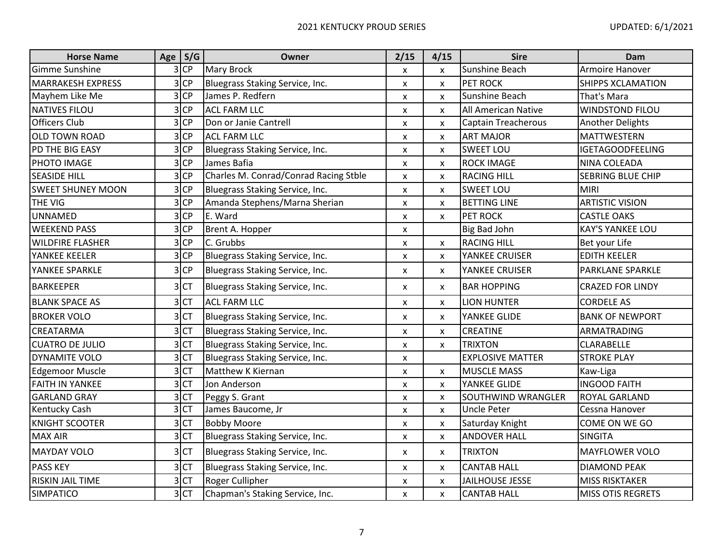| <b>Horse Name</b>        | Age $S/G$       | <b>Owner</b>                          | 2/15                      | 4/15                      | <b>Sire</b>                | Dam                      |
|--------------------------|-----------------|---------------------------------------|---------------------------|---------------------------|----------------------------|--------------------------|
| Gimme Sunshine           | $3$ CP          | <b>Mary Brock</b>                     | X                         | X                         | Sunshine Beach             | Armoire Hanover          |
| <b>MARRAKESH EXPRESS</b> | $3$ CP          | Bluegrass Staking Service, Inc.       | $\pmb{\mathsf{X}}$        | X                         | <b>PET ROCK</b>            | <b>SHIPPS XCLAMATION</b> |
| Mayhem Like Me           | $3$ CP          | James P. Redfern                      | $\pmb{\mathsf{x}}$        | $\boldsymbol{\mathsf{x}}$ | Sunshine Beach             | That's Mara              |
| <b>NATIVES FILOU</b>     | $3$ CP          | <b>ACL FARM LLC</b>                   | X                         | X                         | All American Native        | <b>WINDSTOND FILOU</b>   |
| <b>Officers Club</b>     | $3$ CP          | Don or Janie Cantrell                 | $\boldsymbol{\mathsf{x}}$ | $\pmb{\mathsf{X}}$        | <b>Captain Treacherous</b> | <b>Another Delights</b>  |
| <b>OLD TOWN ROAD</b>     | $3$ CP          | <b>ACL FARM LLC</b>                   | X                         | X                         | <b>ART MAJOR</b>           | <b>MATTWESTERN</b>       |
| PD THE BIG EASY          | $3$ CP          | Bluegrass Staking Service, Inc.       | $\pmb{\mathsf{X}}$        | $\boldsymbol{\mathsf{x}}$ | <b>SWEET LOU</b>           | <b>IGETAGOODFEELING</b>  |
| PHOTO IMAGE              | $3$ CP          | James Bafia                           | X                         | X                         | <b>ROCK IMAGE</b>          | NINA COLEADA             |
| <b>SEASIDE HILL</b>      | $3$ CP          | Charles M. Conrad/Conrad Racing Stble | $\boldsymbol{\mathsf{x}}$ | $\boldsymbol{\mathsf{x}}$ | <b>RACING HILL</b>         | <b>SEBRING BLUE CHIP</b> |
| <b>SWEET SHUNEY MOON</b> | $3$ CP          | Bluegrass Staking Service, Inc.       | $\boldsymbol{\mathsf{x}}$ | X                         | <b>SWEET LOU</b>           | <b>MIRI</b>              |
| THE VIG                  | $3$ CP          | Amanda Stephens/Marna Sherian         | $\pmb{\mathsf{X}}$        | X                         | <b>BETTING LINE</b>        | <b>ARTISTIC VISION</b>   |
| <b>UNNAMED</b>           | $3$ CP          | E. Ward                               | X                         | X                         | <b>PET ROCK</b>            | <b>CASTLE OAKS</b>       |
| <b>WEEKEND PASS</b>      | $3$ CP          | Brent A. Hopper                       | $\pmb{\mathsf{X}}$        |                           | <b>Big Bad John</b>        | <b>KAY'S YANKEE LOU</b>  |
| <b>WILDFIRE FLASHER</b>  | $3$ CP          | C. Grubbs                             | X                         | $\mathsf{x}$              | <b>RACING HILL</b>         | Bet your Life            |
| YANKEE KEELER            | $3$ CP          | Bluegrass Staking Service, Inc.       | $\pmb{\mathsf{X}}$        | X                         | YANKEE CRUISER             | <b>EDITH KEELER</b>      |
| YANKEE SPARKLE           | $3$ CP          | Bluegrass Staking Service, Inc.       | $\pmb{\mathsf{x}}$        | X                         | YANKEE CRUISER             | <b>PARKLANE SPARKLE</b>  |
| <b>BARKEEPER</b>         | 3 <sub>CT</sub> | Bluegrass Staking Service, Inc.       | $\pmb{\mathsf{x}}$        | $\boldsymbol{\mathsf{x}}$ | <b>BAR HOPPING</b>         | <b>CRAZED FOR LINDY</b>  |
| <b>BLANK SPACE AS</b>    | 3 <sub>CT</sub> | <b>ACL FARM LLC</b>                   | $\pmb{\mathsf{X}}$        | X                         | <b>LION HUNTER</b>         | <b>CORDELE AS</b>        |
| <b>BROKER VOLO</b>       | 3 <sub>CT</sub> | Bluegrass Staking Service, Inc.       | $\pmb{\times}$            | X                         | YANKEE GLIDE               | <b>BANK OF NEWPORT</b>   |
| <b>CREATARMA</b>         | 3 <sub>CT</sub> | Bluegrass Staking Service, Inc.       | $\pmb{\mathsf{X}}$        | $\pmb{\mathsf{x}}$        | <b>CREATINE</b>            | ARMATRADING              |
| <b>CUATRO DE JULIO</b>   | 3 <sub>CT</sub> | Bluegrass Staking Service, Inc.       | $\pmb{\mathsf{X}}$        | $\pmb{\mathsf{X}}$        | <b>TRIXTON</b>             | <b>CLARABELLE</b>        |
| DYNAMITE VOLO            | 3 <sub>CT</sub> | Bluegrass Staking Service, Inc.       | $\pmb{\mathsf{x}}$        |                           | <b>EXPLOSIVE MATTER</b>    | <b>STROKE PLAY</b>       |
| <b>Edgemoor Muscle</b>   | 3 <sup>CT</sup> | Matthew K Kiernan                     | $\boldsymbol{\mathsf{x}}$ | $\pmb{\mathsf{X}}$        | <b>MUSCLE MASS</b>         | Kaw-Liga                 |
| <b>FAITH IN YANKEE</b>   | 3 <sub>CT</sub> | Jon Anderson                          | X                         | $\boldsymbol{\mathsf{x}}$ | YANKEE GLIDE               | <b>INGOOD FAITH</b>      |
| <b>GARLAND GRAY</b>      | 3 CT            | Peggy S. Grant                        | $\pmb{\times}$            | $\pmb{\mathsf{X}}$        | <b>SOUTHWIND WRANGLER</b>  | <b>ROYAL GARLAND</b>     |
| <b>Kentucky Cash</b>     | 3 CT            | James Baucome, Jr                     | X                         | $\boldsymbol{\mathsf{x}}$ | <b>Uncle Peter</b>         | Cessna Hanover           |
| <b>KNIGHT SCOOTER</b>    | 3 <sup>CT</sup> | <b>Bobby Moore</b>                    | $\pmb{\times}$            | $\boldsymbol{\mathsf{x}}$ | Saturday Knight            | COME ON WE GO            |
| <b>MAX AIR</b>           | 3 <sup>CT</sup> | Bluegrass Staking Service, Inc.       | X                         | X                         | <b>ANDOVER HALL</b>        | <b>SINGITA</b>           |
| <b>MAYDAY VOLO</b>       | 3 <sub>CT</sub> | Bluegrass Staking Service, Inc.       | X                         | X                         | <b>TRIXTON</b>             | <b>MAYFLOWER VOLO</b>    |
| <b>PASS KEY</b>          | 3 <sub>CT</sub> | Bluegrass Staking Service, Inc.       | X                         | X                         | <b>CANTAB HALL</b>         | <b>DIAMOND PEAK</b>      |
| <b>RISKIN JAIL TIME</b>  | 3 <sub>CT</sub> | Roger Cullipher                       | $\pmb{\mathsf{x}}$        | $\pmb{\mathsf{X}}$        | <b>JAILHOUSE JESSE</b>     | <b>MISS RISKTAKER</b>    |
| <b>SIMPATICO</b>         | 3 <sub>CT</sub> | Chapman's Staking Service, Inc.       | $\mathsf{x}$              | $\mathsf{x}$              | <b>CANTAB HALL</b>         | <b>MISS OTIS REGRETS</b> |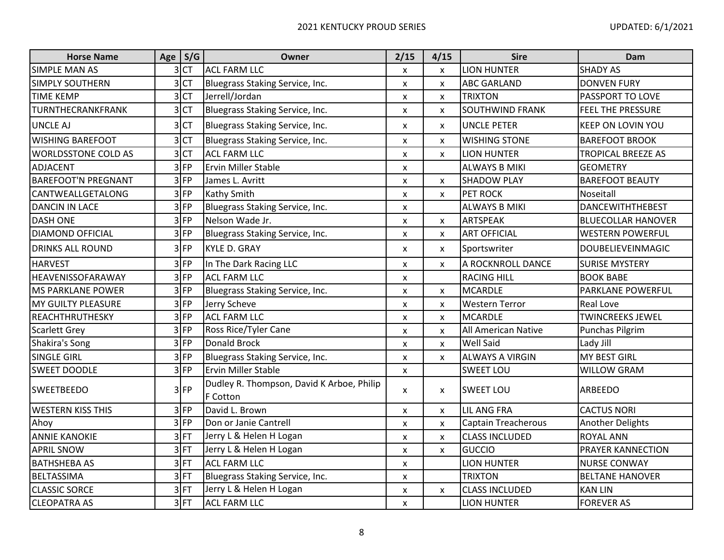| <b>Horse Name</b>          | Age S/G         | Owner                                                 | 2/15                      | 4/15                      | <b>Sire</b>                | Dam                       |
|----------------------------|-----------------|-------------------------------------------------------|---------------------------|---------------------------|----------------------------|---------------------------|
| <b>SIMPLE MAN AS</b>       | 3 <sub>CT</sub> | <b>ACL FARM LLC</b>                                   | X                         | X                         | <b>LION HUNTER</b>         | <b>SHADY AS</b>           |
| SIMPLY SOUTHERN            | 3 <sup>CT</sup> | Bluegrass Staking Service, Inc.                       | X                         | X                         | <b>ABC GARLAND</b>         | <b>DONVEN FURY</b>        |
| <b>TIME KEMP</b>           | 3 <sub>CT</sub> | Jerrell/Jordan                                        | $\pmb{\mathsf{X}}$        | $\boldsymbol{\mathsf{x}}$ | <b>TRIXTON</b>             | PASSPORT TO LOVE          |
| TURNTHECRANKFRANK          | 3 <sub>CT</sub> | Bluegrass Staking Service, Inc.                       | $\boldsymbol{\mathsf{x}}$ | $\boldsymbol{\mathsf{x}}$ | <b>SOUTHWIND FRANK</b>     | <b>FEEL THE PRESSURE</b>  |
| <b>UNCLE AJ</b>            | 3 <sup>CT</sup> | Bluegrass Staking Service, Inc.                       | $\boldsymbol{\mathsf{x}}$ | X                         | <b>UNCLE PETER</b>         | <b>KEEP ON LOVIN YOU</b>  |
| <b>WISHING BAREFOOT</b>    | 3 <sub>CT</sub> | Bluegrass Staking Service, Inc.                       | X                         | X                         | <b>WISHING STONE</b>       | <b>BAREFOOT BROOK</b>     |
| <b>WORLDSSTONE COLD AS</b> | 3 <sup>CT</sup> | <b>ACL FARM LLC</b>                                   | $\pmb{\mathsf{X}}$        | $\pmb{\mathsf{X}}$        | <b>LION HUNTER</b>         | <b>TROPICAL BREEZE AS</b> |
| <b>ADJACENT</b>            | $3$ FP          | <b>Ervin Miller Stable</b>                            | $\mathsf{x}$              |                           | <b>ALWAYS B MIKI</b>       | <b>GEOMETRY</b>           |
| <b>BAREFOOT'N PREGNANT</b> | $3$ FP          | James L. Avritt                                       | $\boldsymbol{\mathsf{x}}$ | $\pmb{\mathsf{X}}$        | <b>SHADOW PLAY</b>         | <b>BAREFOOT BEAUTY</b>    |
| CANTWEALLGETALONG          | $3$ FP          | <b>Kathy Smith</b>                                    | $\pmb{\mathsf{X}}$        | $\pmb{\mathsf{X}}$        | PET ROCK                   | Noseitall                 |
| <b>DANCIN IN LACE</b>      | $3$ FP          | Bluegrass Staking Service, Inc.                       | $\boldsymbol{\mathsf{x}}$ |                           | <b>ALWAYS B MIKI</b>       | <b>DANCEWITHTHEBEST</b>   |
| <b>DASH ONE</b>            | $3$ FP          | Nelson Wade Jr.                                       | $\pmb{\times}$            | $\mathsf{x}$              | <b>ARTSPEAK</b>            | <b>BLUECOLLAR HANOVER</b> |
| <b>DIAMOND OFFICIAL</b>    | $3$ FP          | Bluegrass Staking Service, Inc.                       | X                         | X                         | <b>ART OFFICIAL</b>        | <b>WESTERN POWERFUL</b>   |
| <b>DRINKS ALL ROUND</b>    | $3$ FP          | <b>KYLE D. GRAY</b>                                   | $\pmb{\times}$            | X                         | Sportswriter               | <b>DOUBELIEVEINMAGIC</b>  |
| <b>HARVEST</b>             | $3$ FP          | In The Dark Racing LLC                                | X                         | $\pmb{\mathsf{X}}$        | A ROCKNROLL DANCE          | <b>SURISE MYSTERY</b>     |
| HEAVENISSOFARAWAY          | $3$ FP          | <b>ACL FARM LLC</b>                                   | $\pmb{\mathsf{X}}$        |                           | <b>RACING HILL</b>         | <b>BOOK BABE</b>          |
| <b>MS PARKLANE POWER</b>   | $3$ FP          | Bluegrass Staking Service, Inc.                       | $\pmb{\times}$            | $\pmb{\mathsf{X}}$        | <b>MCARDLE</b>             | <b>PARKLANE POWERFUL</b>  |
| MY GUILTY PLEASURE         | $3$ FP          | Jerry Scheve                                          | X                         | X                         | <b>Western Terror</b>      | <b>Real Love</b>          |
| REACHTHRUTHESKY            | $3$ FP          | <b>ACL FARM LLC</b>                                   | $\pmb{\times}$            | X                         | <b>MCARDLE</b>             | <b>TWINCREEKS JEWEL</b>   |
| <b>Scarlett Grey</b>       | $3$ FP          | Ross Rice/Tyler Cane                                  | $\pmb{\mathsf{X}}$        | $\pmb{\mathsf{X}}$        | All American Native        | Punchas Pilgrim           |
| Shakira's Song             | $3$ FP          | Donald Brock                                          | $\pmb{\mathsf{X}}$        | X                         | <b>Well Said</b>           | Lady Jill                 |
| <b>SINGLE GIRL</b>         | $3$ FP          | Bluegrass Staking Service, Inc.                       | $\pmb{\times}$            | X                         | <b>ALWAYS A VIRGIN</b>     | <b>MY BEST GIRL</b>       |
| <b>SWEET DOODLE</b>        | $3$ FP          | Ervin Miller Stable                                   | $\boldsymbol{\mathsf{x}}$ |                           | <b>SWEET LOU</b>           | <b>WILLOW GRAM</b>        |
| <b>SWEETBEEDO</b>          | $3$ FP          | Dudley R. Thompson, David K Arboe, Philip<br>F Cotton | X                         | $\pmb{\mathsf{X}}$        | <b>SWEET LOU</b>           | ARBEEDO                   |
| <b>WESTERN KISS THIS</b>   | $3$ FP          | David L. Brown                                        | $\pmb{\mathsf{X}}$        | $\pmb{\mathsf{X}}$        | <b>LIL ANG FRA</b>         | <b>CACTUS NORI</b>        |
| Ahoy                       | $3$ FP          | Don or Janie Cantrell                                 | X                         | $\pmb{\times}$            | <b>Captain Treacherous</b> | <b>Another Delights</b>   |
| <b>ANNIE KANOKIE</b>       | $3$ FT          | Jerry L & Helen H Logan                               | $\pmb{\times}$            | $\pmb{\mathsf{X}}$        | <b>CLASS INCLUDED</b>      | <b>ROYAL ANN</b>          |
| <b>APRIL SNOW</b>          | $3$ FT          | Jerry L & Helen H Logan                               | $\pmb{\mathsf{X}}$        | $\pmb{\mathsf{X}}$        | <b>GUCCIO</b>              | <b>PRAYER KANNECTION</b>  |
| <b>BATHSHEBA AS</b>        | $3$ FT          | <b>ACL FARM LLC</b>                                   | $\pmb{\mathsf{X}}$        |                           | <b>LION HUNTER</b>         | <b>NURSE CONWAY</b>       |
| <b>BELTASSIMA</b>          | $3$ FT          | Bluegrass Staking Service, Inc.                       | $\pmb{\mathsf{X}}$        |                           | <b>TRIXTON</b>             | <b>BELTANE HANOVER</b>    |
| <b>CLASSIC SORCE</b>       | $3$ FT          | Jerry L & Helen H Logan                               | $\pmb{\mathsf{x}}$        | $\pmb{\mathsf{X}}$        | <b>CLASS INCLUDED</b>      | <b>KAN LIN</b>            |
| <b>CLEOPATRA AS</b>        | $3$ FT          | <b>ACL FARM LLC</b>                                   | $\pmb{\mathsf{X}}$        |                           | <b>LION HUNTER</b>         | <b>FOREVER AS</b>         |